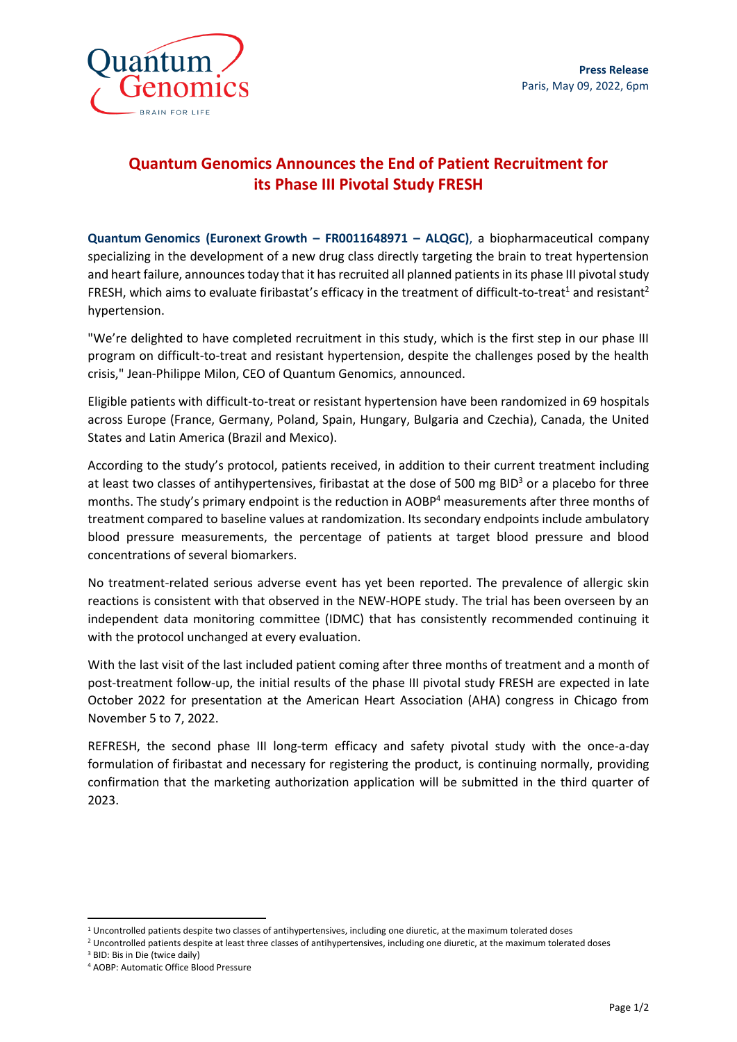

# **Quantum Genomics Announces the End of Patient Recruitment for its Phase III Pivotal Study FRESH**

**Quantum Genomics (Euronext Growth – FR0011648971 – ALQGC)**, a biopharmaceutical company specializing in the development of a new drug class directly targeting the brain to treat hypertension and heart failure, announces today that it has recruited all planned patients in its phase III pivotal study FRESH, which aims to evaluate firibastat's efficacy in the treatment of difficult-to-treat<sup>1</sup> and resistant<sup>2</sup> hypertension.

"We're delighted to have completed recruitment in this study, which is the first step in our phase III program on difficult-to-treat and resistant hypertension, despite the challenges posed by the health crisis," Jean-Philippe Milon, CEO of Quantum Genomics, announced.

Eligible patients with difficult-to-treat or resistant hypertension have been randomized in 69 hospitals across Europe (France, Germany, Poland, Spain, Hungary, Bulgaria and Czechia), Canada, the United States and Latin America (Brazil and Mexico).

According to the study's protocol, patients received, in addition to their current treatment including at least two classes of antihypertensives, firibastat at the dose of 500 mg BID<sup>3</sup> or a placebo for three months. The study's primary endpoint is the reduction in AOBP<sup>4</sup> measurements after three months of treatment compared to baseline values at randomization. Its secondary endpoints include ambulatory blood pressure measurements, the percentage of patients at target blood pressure and blood concentrations of several biomarkers.

No treatment-related serious adverse event has yet been reported. The prevalence of allergic skin reactions is consistent with that observed in the NEW-HOPE study. The trial has been overseen by an independent data monitoring committee (IDMC) that has consistently recommended continuing it with the protocol unchanged at every evaluation.

With the last visit of the last included patient coming after three months of treatment and a month of post-treatment follow-up, the initial results of the phase III pivotal study FRESH are expected in late October 2022 for presentation at the American Heart Association (AHA) congress in Chicago from November 5 to 7, 2022.

REFRESH, the second phase III long-term efficacy and safety pivotal study with the once-a-day formulation of firibastat and necessary for registering the product, is continuing normally, providing confirmation that the marketing authorization application will be submitted in the third quarter of 2023.

 $1$  Uncontrolled patients despite two classes of antihypertensives, including one diuretic, at the maximum tolerated doses

<sup>&</sup>lt;sup>2</sup> Uncontrolled patients despite at least three classes of antihypertensives, including one diuretic, at the maximum tolerated doses

<sup>3</sup> BID: Bis in Die (twice daily)

<sup>4</sup> AOBP: Automatic Office Blood Pressure